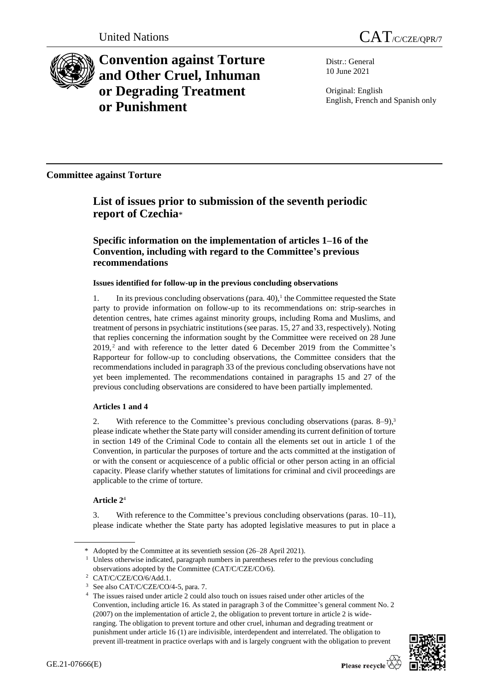



**Convention against Torture and Other Cruel, Inhuman or Degrading Treatment or Punishment**

Distr.: General 10 June 2021

Original: English English, French and Spanish only

**Committee against Torture**

# **List of issues prior to submission of the seventh periodic report of Czechia**\*

## **Specific information on the implementation of articles 1–16 of the Convention, including with regard to the Committee's previous recommendations**

## **Issues identified for follow-up in the previous concluding observations**

1. In its previous concluding observations (para. 40),<sup>1</sup> the Committee requested the State party to provide information on follow-up to its recommendations on: strip-searches in detention centres, hate crimes against minority groups, including Roma and Muslims, and treatment of persons in psychiatric institutions (see paras. 15, 27 and 33, respectively). Noting that replies concerning the information sought by the Committee were received on 28 June  $2019$ ,  $2$  and with reference to the letter dated 6 December 2019 from the Committee's Rapporteur for follow-up to concluding observations, the Committee considers that the recommendations included in paragraph 33 of the previous concluding observations have not yet been implemented. The recommendations contained in paragraphs 15 and 27 of the previous concluding observations are considered to have been partially implemented.

## **Articles 1 and 4**

2. With reference to the Committee's previous concluding observations (paras. 8–9), 3 please indicate whether the State party will consider amending its current definition of torture in section 149 of the Criminal Code to contain all the elements set out in article 1 of the Convention, in particular the purposes of torture and the acts committed at the instigation of or with the consent or acquiescence of a public official or other person acting in an official capacity. Please clarify whether statutes of limitations for criminal and civil proceedings are applicable to the crime of torture.

## **Article 2**<sup>4</sup>

3. With reference to the Committee's previous concluding observations (paras. 10–11), please indicate whether the State party has adopted legislative measures to put in place a

<sup>4</sup> The issues raised under article 2 could also touch on issues raised under other articles of the Convention, including article 16. As stated in paragraph 3 of the Committee's general comment No. 2 (2007) on the implementation of article 2, the obligation to prevent torture in article 2 is wideranging. The obligation to prevent torture and other cruel, inhuman and degrading treatment or punishment under article 16 (1) are indivisible, interdependent and interrelated. The obligation to prevent ill-treatment in practice overlaps with and is largely congruent with the obligation to prevent



<sup>\*</sup> Adopted by the Committee at its seventieth session (26–28 April 2021).

<sup>&</sup>lt;sup>1</sup> Unless otherwise indicated, paragraph numbers in parentheses refer to the previous concluding observations adopted by the Committee (CAT/C/CZE/CO/6).

<sup>2</sup> CAT/C/CZE/CO/6/Add.1.

<sup>3</sup> See also CAT/C/CZE/CO/4-5, para. 7.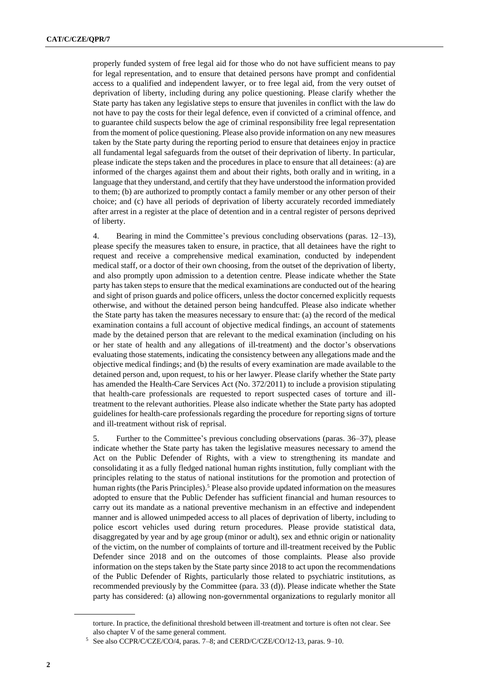properly funded system of free legal aid for those who do not have sufficient means to pay for legal representation, and to ensure that detained persons have prompt and confidential access to a qualified and independent lawyer, or to free legal aid, from the very outset of deprivation of liberty, including during any police questioning. Please clarify whether the State party has taken any legislative steps to ensure that juveniles in conflict with the law do not have to pay the costs for their legal defence, even if convicted of a criminal offence, and to guarantee child suspects below the age of criminal responsibility free legal representation from the moment of police questioning. Please also provide information on any new measures taken by the State party during the reporting period to ensure that detainees enjoy in practice all fundamental legal safeguards from the outset of their deprivation of liberty. In particular, please indicate the steps taken and the procedures in place to ensure that all detainees: (a) are informed of the charges against them and about their rights, both orally and in writing, in a language that they understand, and certify that they have understood the information provided to them; (b) are authorized to promptly contact a family member or any other person of their choice; and (c) have all periods of deprivation of liberty accurately recorded immediately after arrest in a register at the place of detention and in a central register of persons deprived of liberty.

4. Bearing in mind the Committee's previous concluding observations (paras. 12–13), please specify the measures taken to ensure, in practice, that all detainees have the right to request and receive a comprehensive medical examination, conducted by independent medical staff, or a doctor of their own choosing, from the outset of the deprivation of liberty, and also promptly upon admission to a detention centre. Please indicate whether the State party has taken steps to ensure that the medical examinations are conducted out of the hearing and sight of prison guards and police officers, unless the doctor concerned explicitly requests otherwise, and without the detained person being handcuffed. Please also indicate whether the State party has taken the measures necessary to ensure that: (a) the record of the medical examination contains a full account of objective medical findings, an account of statements made by the detained person that are relevant to the medical examination (including on his or her state of health and any allegations of ill-treatment) and the doctor's observations evaluating those statements, indicating the consistency between any allegations made and the objective medical findings; and (b) the results of every examination are made available to the detained person and, upon request, to his or her lawyer. Please clarify whether the State party has amended the Health-Care Services Act (No. 372/2011) to include a provision stipulating that health-care professionals are requested to report suspected cases of torture and illtreatment to the relevant authorities. Please also indicate whether the State party has adopted guidelines for health-care professionals regarding the procedure for reporting signs of torture and ill-treatment without risk of reprisal.

5. Further to the Committee's previous concluding observations (paras. 36–37), please indicate whether the State party has taken the legislative measures necessary to amend the Act on the Public Defender of Rights, with a view to strengthening its mandate and consolidating it as a fully fledged national human rights institution, fully compliant with the principles relating to the status of national institutions for the promotion and protection of human rights (the Paris Principles).<sup>5</sup> Please also provide updated information on the measures adopted to ensure that the Public Defender has sufficient financial and human resources to carry out its mandate as a national preventive mechanism in an effective and independent manner and is allowed unimpeded access to all places of deprivation of liberty, including to police escort vehicles used during return procedures. Please provide statistical data, disaggregated by year and by age group (minor or adult), sex and ethnic origin or nationality of the victim, on the number of complaints of torture and ill-treatment received by the Public Defender since 2018 and on the outcomes of those complaints. Please also provide information on the steps taken by the State party since 2018 to act upon the recommendations of the Public Defender of Rights, particularly those related to psychiatric institutions, as recommended previously by the Committee (para. 33 (d)). Please indicate whether the State party has considered: (a) allowing non-governmental organizations to regularly monitor all

torture. In practice, the definitional threshold between ill-treatment and torture is often not clear. See also chapter V of the same general comment.

<sup>5</sup> See also CCPR/C/CZE/CO/4, paras. 7–8; and CERD/C/CZE/CO/12-13, paras. 9–10.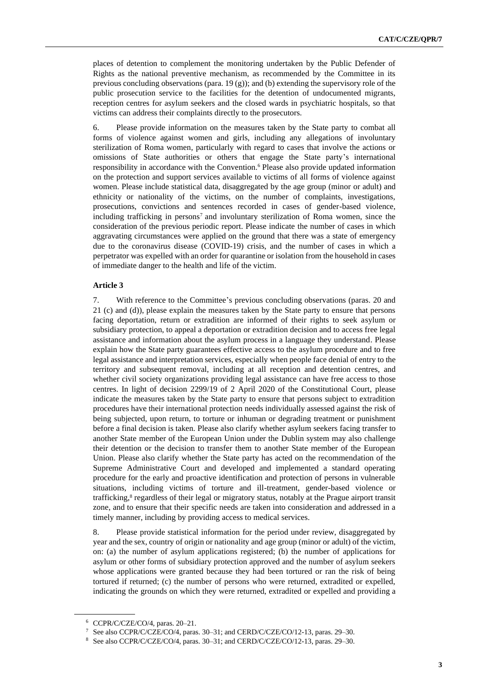places of detention to complement the monitoring undertaken by the Public Defender of Rights as the national preventive mechanism, as recommended by the Committee in its previous concluding observations (para. 19 (g)); and (b) extending the supervisory role of the public prosecution service to the facilities for the detention of undocumented migrants, reception centres for asylum seekers and the closed wards in psychiatric hospitals, so that victims can address their complaints directly to the prosecutors.

6. Please provide information on the measures taken by the State party to combat all forms of violence against women and girls, including any allegations of involuntary sterilization of Roma women, particularly with regard to cases that involve the actions or omissions of State authorities or others that engage the State party's international responsibility in accordance with the Convention.<sup>6</sup> Please also provide updated information on the protection and support services available to victims of all forms of violence against women. Please include statistical data, disaggregated by the age group (minor or adult) and ethnicity or nationality of the victims, on the number of complaints, investigations, prosecutions, convictions and sentences recorded in cases of gender-based violence, including trafficking in persons<sup>7</sup> and involuntary sterilization of Roma women, since the consideration of the previous periodic report. Please indicate the number of cases in which aggravating circumstances were applied on the ground that there was a state of emergency due to the coronavirus disease (COVID-19) crisis, and the number of cases in which a perpetrator was expelled with an order for quarantine or isolation from the household in cases of immediate danger to the health and life of the victim.

#### **Article 3**

7. With reference to the Committee's previous concluding observations (paras. 20 and 21 (c) and (d)), please explain the measures taken by the State party to ensure that persons facing deportation, return or extradition are informed of their rights to seek asylum or subsidiary protection, to appeal a deportation or extradition decision and to access free legal assistance and information about the asylum process in a language they understand. Please explain how the State party guarantees effective access to the asylum procedure and to free legal assistance and interpretation services, especially when people face denial of entry to the territory and subsequent removal, including at all reception and detention centres, and whether civil society organizations providing legal assistance can have free access to those centres. In light of decision 2299/19 of 2 April 2020 of the Constitutional Court, please indicate the measures taken by the State party to ensure that persons subject to extradition procedures have their international protection needs individually assessed against the risk of being subjected, upon return, to torture or inhuman or degrading treatment or punishment before a final decision is taken. Please also clarify whether asylum seekers facing transfer to another State member of the European Union under the Dublin system may also challenge their detention or the decision to transfer them to another State member of the European Union. Please also clarify whether the State party has acted on the recommendation of the Supreme Administrative Court and developed and implemented a standard operating procedure for the early and proactive identification and protection of persons in vulnerable situations, including victims of torture and ill-treatment, gender-based violence or trafficking,<sup>8</sup> regardless of their legal or migratory status, notably at the Prague airport transit zone, and to ensure that their specific needs are taken into consideration and addressed in a timely manner, including by providing access to medical services.

8. Please provide statistical information for the period under review, disaggregated by year and the sex, country of origin or nationality and age group (minor or adult) of the victim, on: (a) the number of asylum applications registered; (b) the number of applications for asylum or other forms of subsidiary protection approved and the number of asylum seekers whose applications were granted because they had been tortured or ran the risk of being tortured if returned; (c) the number of persons who were returned, extradited or expelled, indicating the grounds on which they were returned, extradited or expelled and providing a

<sup>6</sup> CCPR/C/CZE/CO/4, paras. 20–21.

<sup>7</sup> See also CCPR/C/CZE/CO/4, paras. 30–31; and CERD/C/CZE/CO/12-13, paras. 29–30.

<sup>8</sup> See also CCPR/C/CZE/CO/4, paras. 30–31; and CERD/C/CZE/CO/12-13, paras. 29–30.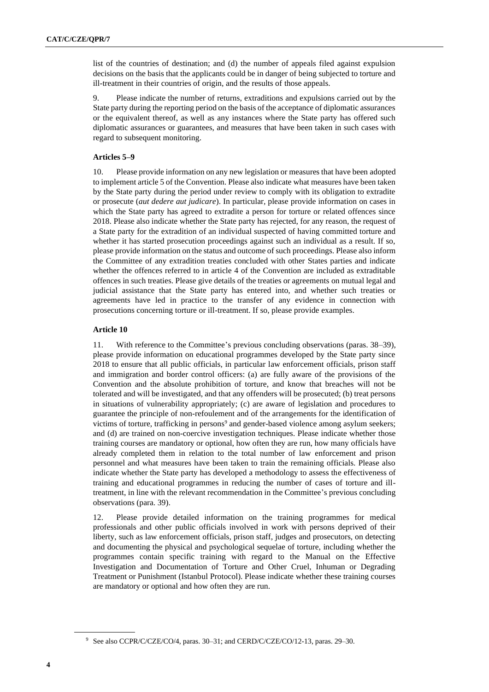list of the countries of destination; and (d) the number of appeals filed against expulsion decisions on the basis that the applicants could be in danger of being subjected to torture and ill-treatment in their countries of origin, and the results of those appeals.

9. Please indicate the number of returns, extraditions and expulsions carried out by the State party during the reporting period on the basis of the acceptance of diplomatic assurances or the equivalent thereof, as well as any instances where the State party has offered such diplomatic assurances or guarantees, and measures that have been taken in such cases with regard to subsequent monitoring.

#### **Articles 5–9**

10. Please provide information on any new legislation or measures that have been adopted to implement article 5 of the Convention. Please also indicate what measures have been taken by the State party during the period under review to comply with its obligation to extradite or prosecute (*aut dedere aut judicare*). In particular, please provide information on cases in which the State party has agreed to extradite a person for torture or related offences since 2018. Please also indicate whether the State party has rejected, for any reason, the request of a State party for the extradition of an individual suspected of having committed torture and whether it has started prosecution proceedings against such an individual as a result. If so, please provide information on the status and outcome of such proceedings. Please also inform the Committee of any extradition treaties concluded with other States parties and indicate whether the offences referred to in article 4 of the Convention are included as extraditable offences in such treaties. Please give details of the treaties or agreements on mutual legal and judicial assistance that the State party has entered into, and whether such treaties or agreements have led in practice to the transfer of any evidence in connection with prosecutions concerning torture or ill-treatment. If so, please provide examples.

#### **Article 10**

11. With reference to the Committee's previous concluding observations (paras. 38–39), please provide information on educational programmes developed by the State party since 2018 to ensure that all public officials, in particular law enforcement officials, prison staff and immigration and border control officers: (a) are fully aware of the provisions of the Convention and the absolute prohibition of torture, and know that breaches will not be tolerated and will be investigated, and that any offenders will be prosecuted; (b) treat persons in situations of vulnerability appropriately; (c) are aware of legislation and procedures to guarantee the principle of non-refoulement and of the arrangements for the identification of victims of torture, trafficking in persons<sup>9</sup> and gender-based violence among asylum seekers; and (d) are trained on non-coercive investigation techniques. Please indicate whether those training courses are mandatory or optional, how often they are run, how many officials have already completed them in relation to the total number of law enforcement and prison personnel and what measures have been taken to train the remaining officials. Please also indicate whether the State party has developed a methodology to assess the effectiveness of training and educational programmes in reducing the number of cases of torture and illtreatment, in line with the relevant recommendation in the Committee's previous concluding observations (para. 39).

12. Please provide detailed information on the training programmes for medical professionals and other public officials involved in work with persons deprived of their liberty, such as law enforcement officials, prison staff, judges and prosecutors, on detecting and documenting the physical and psychological sequelae of torture, including whether the programmes contain specific training with regard to the Manual on the Effective Investigation and Documentation of Torture and Other Cruel, Inhuman or Degrading Treatment or Punishment (Istanbul Protocol). Please indicate whether these training courses are mandatory or optional and how often they are run.

<sup>9</sup> See also CCPR/C/CZE/CO/4, paras. 30–31; and CERD/C/CZE/CO/12-13, paras. 29–30.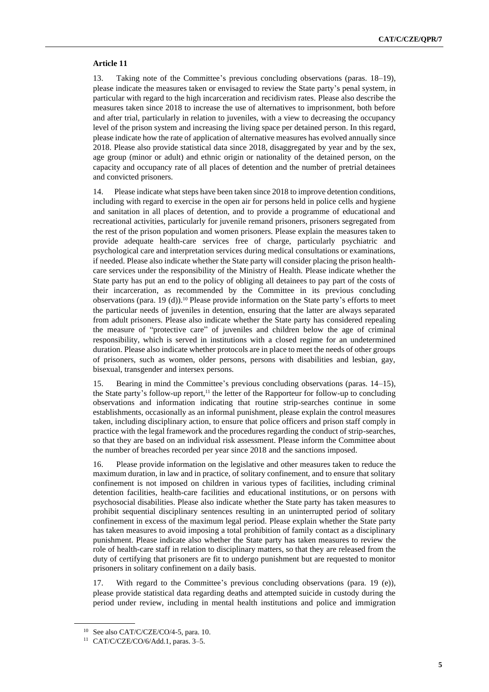#### **Article 11**

13. Taking note of the Committee's previous concluding observations (paras. 18–19), please indicate the measures taken or envisaged to review the State party's penal system, in particular with regard to the high incarceration and recidivism rates. Please also describe the measures taken since 2018 to increase the use of alternatives to imprisonment, both before and after trial, particularly in relation to juveniles, with a view to decreasing the occupancy level of the prison system and increasing the living space per detained person. In this regard, please indicate how the rate of application of alternative measures has evolved annually since 2018. Please also provide statistical data since 2018, disaggregated by year and by the sex, age group (minor or adult) and ethnic origin or nationality of the detained person, on the capacity and occupancy rate of all places of detention and the number of pretrial detainees and convicted prisoners.

14. Please indicate what steps have been taken since 2018 to improve detention conditions, including with regard to exercise in the open air for persons held in police cells and hygiene and sanitation in all places of detention, and to provide a programme of educational and recreational activities, particularly for juvenile remand prisoners, prisoners segregated from the rest of the prison population and women prisoners. Please explain the measures taken to provide adequate health-care services free of charge, particularly psychiatric and psychological care and interpretation services during medical consultations or examinations, if needed. Please also indicate whether the State party will consider placing the prison healthcare services under the responsibility of the Ministry of Health. Please indicate whether the State party has put an end to the policy of obliging all detainees to pay part of the costs of their incarceration, as recommended by the Committee in its previous concluding observations (para. 19 (d)).<sup>10</sup> Please provide information on the State party's efforts to meet the particular needs of juveniles in detention, ensuring that the latter are always separated from adult prisoners. Please also indicate whether the State party has considered repealing the measure of "protective care" of juveniles and children below the age of criminal responsibility, which is served in institutions with a closed regime for an undetermined duration. Please also indicate whether protocols are in place to meet the needs of other groups of prisoners, such as women, older persons, persons with disabilities and lesbian, gay, bisexual, transgender and intersex persons.

15. Bearing in mind the Committee's previous concluding observations (paras. 14–15), the State party's follow-up report, $11$  the letter of the Rapporteur for follow-up to concluding observations and information indicating that routine strip-searches continue in some establishments, occasionally as an informal punishment, please explain the control measures taken, including disciplinary action, to ensure that police officers and prison staff comply in practice with the legal framework and the procedures regarding the conduct of strip-searches, so that they are based on an individual risk assessment. Please inform the Committee about the number of breaches recorded per year since 2018 and the sanctions imposed.

16. Please provide information on the legislative and other measures taken to reduce the maximum duration, in law and in practice, of solitary confinement, and to ensure that solitary confinement is not imposed on children in various types of facilities, including criminal detention facilities, health-care facilities and educational institutions, or on persons with psychosocial disabilities. Please also indicate whether the State party has taken measures to prohibit sequential disciplinary sentences resulting in an uninterrupted period of solitary confinement in excess of the maximum legal period. Please explain whether the State party has taken measures to avoid imposing a total prohibition of family contact as a disciplinary punishment. Please indicate also whether the State party has taken measures to review the role of health-care staff in relation to disciplinary matters, so that they are released from the duty of certifying that prisoners are fit to undergo punishment but are requested to monitor prisoners in solitary confinement on a daily basis.

With regard to the Committee's previous concluding observations (para. 19 (e)), please provide statistical data regarding deaths and attempted suicide in custody during the period under review, including in mental health institutions and police and immigration

 $10$  See also CAT/C/CZE/CO/4-5, para. 10.

<sup>11</sup> CAT/C/CZE/CO/6/Add.1, paras. 3–5.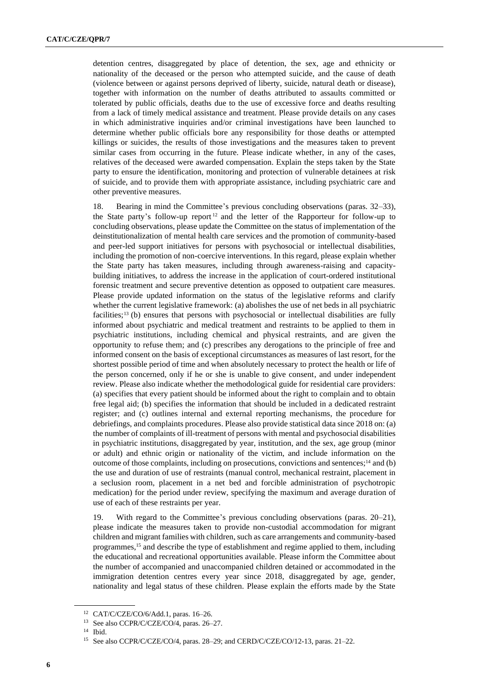detention centres, disaggregated by place of detention, the sex, age and ethnicity or nationality of the deceased or the person who attempted suicide, and the cause of death (violence between or against persons deprived of liberty, suicide, natural death or disease), together with information on the number of deaths attributed to assaults committed or tolerated by public officials, deaths due to the use of excessive force and deaths resulting from a lack of timely medical assistance and treatment. Please provide details on any cases in which administrative inquiries and/or criminal investigations have been launched to determine whether public officials bore any responsibility for those deaths or attempted killings or suicides, the results of those investigations and the measures taken to prevent similar cases from occurring in the future. Please indicate whether, in any of the cases, relatives of the deceased were awarded compensation. Explain the steps taken by the State party to ensure the identification, monitoring and protection of vulnerable detainees at risk of suicide, and to provide them with appropriate assistance, including psychiatric care and other preventive measures.

18. Bearing in mind the Committee's previous concluding observations (paras. 32–33), the State party's follow-up report  $12$  and the letter of the Rapporteur for follow-up to concluding observations, please update the Committee on the status of implementation of the deinstitutionalization of mental health care services and the promotion of community-based and peer-led support initiatives for persons with psychosocial or intellectual disabilities, including the promotion of non-coercive interventions. In this regard, please explain whether the State party has taken measures, including through awareness-raising and capacitybuilding initiatives, to address the increase in the application of court-ordered institutional forensic treatment and secure preventive detention as opposed to outpatient care measures. Please provide updated information on the status of the legislative reforms and clarify whether the current legislative framework: (a) abolishes the use of net beds in all psychiatric facilities;<sup>13</sup> (b) ensures that persons with psychosocial or intellectual disabilities are fully informed about psychiatric and medical treatment and restraints to be applied to them in psychiatric institutions, including chemical and physical restraints, and are given the opportunity to refuse them; and (c) prescribes any derogations to the principle of free and informed consent on the basis of exceptional circumstances as measures of last resort, for the shortest possible period of time and when absolutely necessary to protect the health or life of the person concerned, only if he or she is unable to give consent, and under independent review. Please also indicate whether the methodological guide for residential care providers: (a) specifies that every patient should be informed about the right to complain and to obtain free legal aid; (b) specifies the information that should be included in a dedicated restraint register; and (c) outlines internal and external reporting mechanisms, the procedure for debriefings, and complaints procedures. Please also provide statistical data since 2018 on: (a) the number of complaints of ill-treatment of persons with mental and psychosocial disabilities in psychiatric institutions, disaggregated by year, institution, and the sex, age group (minor or adult) and ethnic origin or nationality of the victim, and include information on the outcome of those complaints, including on prosecutions, convictions and sentences;<sup>14</sup> and (b) the use and duration of use of restraints (manual control, mechanical restraint, placement in a seclusion room, placement in a net bed and forcible administration of psychotropic medication) for the period under review, specifying the maximum and average duration of use of each of these restraints per year.

19. With regard to the Committee's previous concluding observations (paras. 20–21), please indicate the measures taken to provide non-custodial accommodation for migrant children and migrant families with children, such as care arrangements and community-based programmes,<sup>15</sup> and describe the type of establishment and regime applied to them, including the educational and recreational opportunities available. Please inform the Committee about the number of accompanied and unaccompanied children detained or accommodated in the immigration detention centres every year since 2018, disaggregated by age, gender, nationality and legal status of these children. Please explain the efforts made by the State

<sup>12</sup> CAT/C/CZE/CO/6/Add.1, paras. 16–26.

<sup>13</sup> See also CCPR/C/CZE/CO/4, paras. 26–27.

<sup>14</sup> Ibid.

<sup>15</sup> See also CCPR/C/CZE/CO/4, paras. 28–29; and CERD/C/CZE/CO/12-13, paras. 21–22.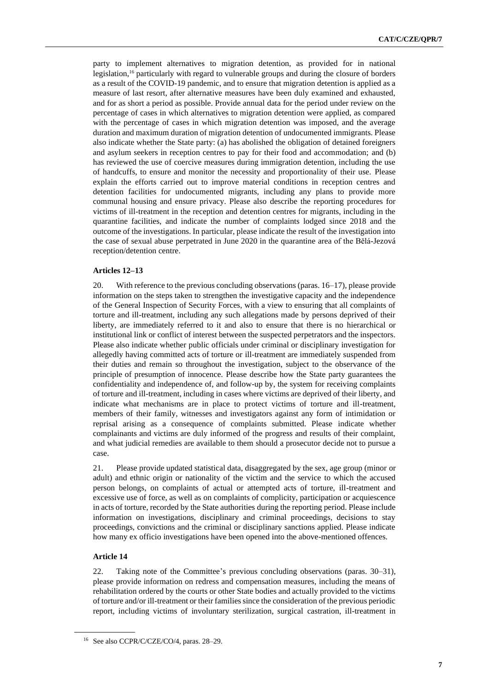party to implement alternatives to migration detention, as provided for in national legislation,<sup>16</sup> particularly with regard to vulnerable groups and during the closure of borders as a result of the COVID-19 pandemic, and to ensure that migration detention is applied as a measure of last resort, after alternative measures have been duly examined and exhausted, and for as short a period as possible. Provide annual data for the period under review on the percentage of cases in which alternatives to migration detention were applied, as compared with the percentage of cases in which migration detention was imposed, and the average duration and maximum duration of migration detention of undocumented immigrants. Please also indicate whether the State party: (a) has abolished the obligation of detained foreigners and asylum seekers in reception centres to pay for their food and accommodation; and (b) has reviewed the use of coercive measures during immigration detention, including the use of handcuffs, to ensure and monitor the necessity and proportionality of their use. Please explain the efforts carried out to improve material conditions in reception centres and detention facilities for undocumented migrants, including any plans to provide more communal housing and ensure privacy. Please also describe the reporting procedures for victims of ill-treatment in the reception and detention centres for migrants, including in the quarantine facilities, and indicate the number of complaints lodged since 2018 and the outcome of the investigations. In particular, please indicate the result of the investigation into the case of sexual abuse perpetrated in June 2020 in the quarantine area of the Bělá-Jezová reception/detention centre.

#### **Articles 12–13**

20. With reference to the previous concluding observations (paras. 16–17), please provide information on the steps taken to strengthen the investigative capacity and the independence of the General Inspection of Security Forces, with a view to ensuring that all complaints of torture and ill-treatment, including any such allegations made by persons deprived of their liberty, are immediately referred to it and also to ensure that there is no hierarchical or institutional link or conflict of interest between the suspected perpetrators and the inspectors. Please also indicate whether public officials under criminal or disciplinary investigation for allegedly having committed acts of torture or ill-treatment are immediately suspended from their duties and remain so throughout the investigation, subject to the observance of the principle of presumption of innocence. Please describe how the State party guarantees the confidentiality and independence of, and follow-up by, the system for receiving complaints of torture and ill-treatment, including in cases where victims are deprived of their liberty, and indicate what mechanisms are in place to protect victims of torture and ill-treatment, members of their family, witnesses and investigators against any form of intimidation or reprisal arising as a consequence of complaints submitted. Please indicate whether complainants and victims are duly informed of the progress and results of their complaint, and what judicial remedies are available to them should a prosecutor decide not to pursue a case.

21. Please provide updated statistical data, disaggregated by the sex, age group (minor or adult) and ethnic origin or nationality of the victim and the service to which the accused person belongs, on complaints of actual or attempted acts of torture, ill-treatment and excessive use of force, as well as on complaints of complicity, participation or acquiescence in acts of torture, recorded by the State authorities during the reporting period. Please include information on investigations, disciplinary and criminal proceedings, decisions to stay proceedings, convictions and the criminal or disciplinary sanctions applied. Please indicate how many ex officio investigations have been opened into the above-mentioned offences.

#### **Article 14**

22. Taking note of the Committee's previous concluding observations (paras. 30–31), please provide information on redress and compensation measures, including the means of rehabilitation ordered by the courts or other State bodies and actually provided to the victims of torture and/or ill-treatment or their families since the consideration of the previous periodic report, including victims of involuntary sterilization, surgical castration, ill-treatment in

<sup>16</sup> See also CCPR/C/CZE/CO/4, paras. 28–29.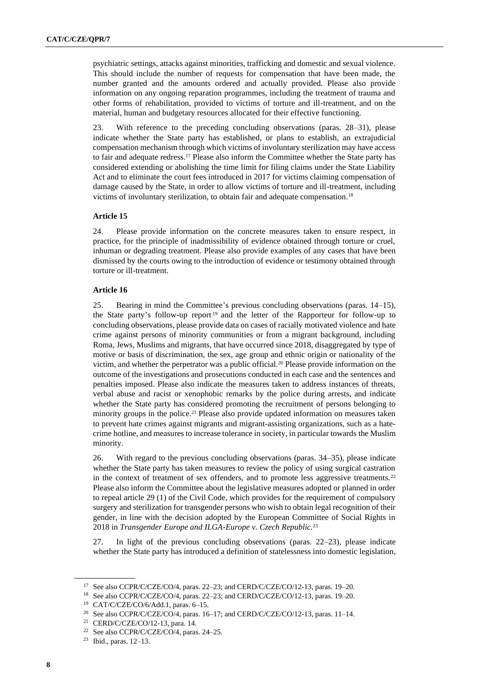psychiatric settings, attacks against minorities, trafficking and domestic and sexual violence. This should include the number of requests for compensation that have been made, the number granted and the amounts ordered and actually provided. Please also provide information on any ongoing reparation programmes, including the treatment of trauma and other forms of rehabilitation, provided to victims of torture and ill-treatment, and on the material, human and budgetary resources allocated for their effective functioning.

23. With reference to the preceding concluding observations (paras. 28–31), please indicate whether the State party has established, or plans to establish, an extrajudicial compensation mechanism through which victims of involuntary sterilization may have access to fair and adequate redress.<sup>17</sup> Please also inform the Committee whether the State party has considered extending or abolishing the time limit for filing claims under the State Liability Act and to eliminate the court fees introduced in 2017 for victims claiming compensation of damage caused by the State, in order to allow victims of torture and ill-treatment, including victims of involuntary sterilization, to obtain fair and adequate compensation.<sup>18</sup>

#### **Article 15**

24. Please provide information on the concrete measures taken to ensure respect, in practice, for the principle of inadmissibility of evidence obtained through torture or cruel, inhuman or degrading treatment. Please also provide examples of any cases that have been dismissed by the courts owing to the introduction of evidence or testimony obtained through torture or ill-treatment.

#### **Article 16**

25. Bearing in mind the Committee's previous concluding observations (paras. 14–15), the State party's follow-up report <sup>19</sup> and the letter of the Rapporteur for follow-up to concluding observations, please provide data on cases of racially motivated violence and hate crime against persons of minority communities or from a migrant background, including Roma, Jews, Muslims and migrants, that have occurred since 2018, disaggregated by type of motive or basis of discrimination, the sex, age group and ethnic origin or nationality of the victim, and whether the perpetrator was a public official.<sup>20</sup> Please provide information on the outcome of the investigations and prosecutions conducted in each case and the sentences and penalties imposed. Please also indicate the measures taken to address instances of threats, verbal abuse and racist or xenophobic remarks by the police during arrests, and indicate whether the State party has considered promoting the recruitment of persons belonging to minority groups in the police.<sup>21</sup> Please also provide updated information on measures taken to prevent hate crimes against migrants and migrant-assisting organizations, such as a hatecrime hotline, and measures to increase tolerance in society, in particular towards the Muslim minority.

26. With regard to the previous concluding observations (paras. 34–35), please indicate whether the State party has taken measures to review the policy of using surgical castration in the context of treatment of sex offenders, and to promote less aggressive treatments.<sup>22</sup> Please also inform the Committee about the legislative measures adopted or planned in order to repeal article 29 (1) of the Civil Code, which provides for the requirement of compulsory surgery and sterilization for transgender persons who wish to obtain legal recognition of their gender, in line with the decision adopted by the European Committee of Social Rights in 2018 in *Transgender Europe and ILGA-Europe v. Czech Republic.*<sup>23</sup>

27. In light of the previous concluding observations (paras. 22–23), please indicate whether the State party has introduced a definition of statelessness into domestic legislation,

<sup>17</sup> See also CCPR/C/CZE/CO/4, paras. 22–23; and CERD/C/CZE/CO/12-13, paras. 19–20.

<sup>18</sup> See also CCPR/C/CZE/CO/4, paras. 22–23; and CERD/C/CZE/CO/12-13, paras. 19–20. <sup>19</sup> CAT/C/CZE/CO/6/Add.1, paras. 6–15.

<sup>20</sup> See also CCPR/C/CZE/CO/4, paras. 16–17; and CERD/C/CZE/CO/12-13, paras. 11–14.

<sup>21</sup> CERD/C/CZE/CO/12-13, para. 14.

<sup>22</sup> See also CCPR/C/CZE/CO/4, paras. 24–25.

<sup>23</sup> Ibid., paras. 12–13.